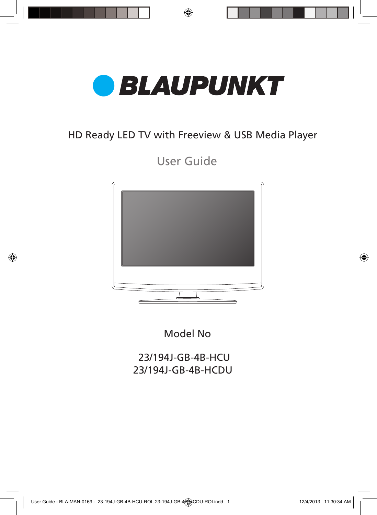

### HD Ready LED TV with Freeview & USB Media Player

User Guide



Model No

 23/194J-GB-4B-HCU 23/194J-GB-4B-HCDU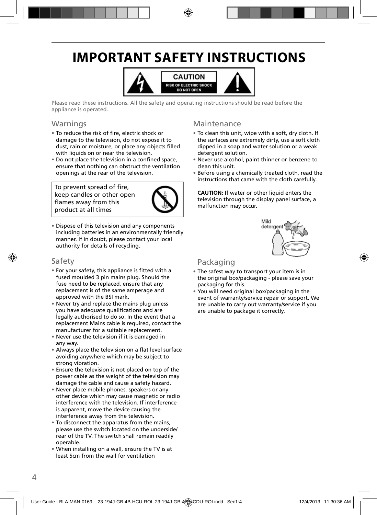# **IMPORTANT SAFETY INSTRUCTIONS**



Please read these instructions. All the safety and operating instructions should be read before the appliance is operated.

#### Warnings

- To reduce the risk of fire, electric shock or damage to the television, do not expose it to dust, rain or moisture, or place any objects filled with liquids on or near the television.
- Do not place the television in a confined space, ensure that nothing can obstruct the ventilation openings at the rear of the television.

To prevent spread of fire, keep candles or other open flames away from this product at all times



• Dispose of this television and any components including batteries in an environmentally friendly manner. If in doubt, please contact your local authority for details of recycling.

#### Safety

- For your safety, this appliance is fitted with a fused moulded 3 pin mains plug. Should the fuse need to be replaced, ensure that any replacement is of the same amperage and approved with the BSI mark.
- Never try and replace the mains plug unless you have adequate qualifications and are legally authorised to do so. In the event that a replacement Mains cable is required, contact the manufacturer for a suitable replacement.
- Never use the television if it is damaged in any way.
- Always place the television on a flat level surface avoiding anywhere which may be subject to strong vibration.
- Ensure the television is not placed on top of the power cable as the weight of the television may damage the cable and cause a safety hazard.
- Never place mobile phones, speakers or any other device which may cause magnetic or radio interference with the television. If interference is apparent, move the device causing the interference away from the television.
- To disconnect the apparatus from the mains, please use the switch located on the underside/ rear of the TV. The switch shall remain readily operable.
- When installing on a wall, ensure the TV is at least 5cm from the wall for ventilation

#### Maintenance

- To clean this unit, wipe with a soft, dry cloth. If the surfaces are extremely dirty, use a soft cloth dipped in a soap and water solution or a weak detergent solution.
- Never use alcohol, paint thinner or benzene to clean this unit.
- Before using a chemically treated cloth, read the instructions that came with the cloth carefully.

**CAUTION:** If water or other liquid enters the television through the display panel surface, a malfunction may occur.



### Packaging

- The safest way to transport your item is in the original box/packaging - please save your packaging for this.
- You will need original box/packaging in the event of warranty/service repair or support. We are unable to carry out warranty/service if you are unable to package it correctly.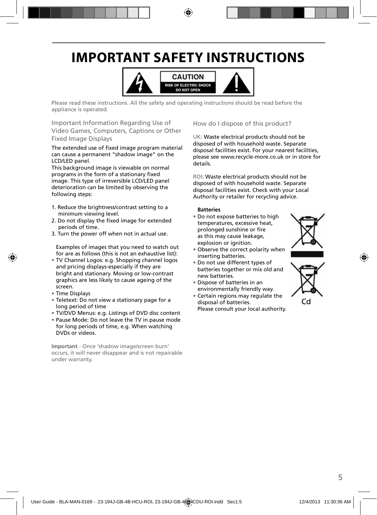# **IMPORTANT SAFETY INSTRUCTIONS**



Please read these instructions. All the safety and operating instructions should be read before the appliance is operated.

Important Information Regarding Use of Video Games, Computers, Captions or Other Fixed Image Displays

The extended use of fixed image program material can cause a permanent "shadow image" on the LCD/LED panel.

This background image is viewable on normal programs in the form of a stationary fixed image. This type of irreversible LCD/LED panel deterioration can be limited by observing the following steps:

- 1. Reduce the brightness/contrast setting to a minimum viewing level.
- 2. Do not display the fixed image for extended periods of time.
- 3. Turn the power off when not in actual use.

Examples of images that you need to watch out for are as follows (this is not an exhaustive list):

- TV Channel Logos: e.g. Shopping channel logos and pricing displays-especially if they are bright and stationary. Moving or low-contrast graphics are less likely to cause ageing of the screen.
- Time Displays
- Teletext: Do not view a stationary page for a long period of time
- TV/DVD Menus: e.g. Listings of DVD disc content
- Pause Mode: Do not leave the TV in pause mode for long periods of time, e.g. When watching DVDs or videos.

**Important** - Once 'shadow image/screen burn' occurs, it will never disappear and is not repairable under warranty.

How do I dispose of this product?

UK: Waste electrical products should not be disposed of with household waste. Separate disposal facilities exist. For your nearest facilities, please see www.recycle-more.co.uk or in store for details.

ROI: Waste electrical products should not be disposed of with household waste. Separate disposal facilities exist. Check with your Local Authority or retailer for recycling advice.

#### **Batteries**

- Do not expose batteries to high temperatures, excessive heat, prolonged sunshine or fire as this may cause leakage, explosion or ignition.
- Observe the correct polarity when inserting batteries.
- Do not use different types of batteries together or mix old and new batteries.
- Dispose of batteries in an environmentally friendly way.
- Certain regions may regulate the disposal of batteries. Please consult your local authority.



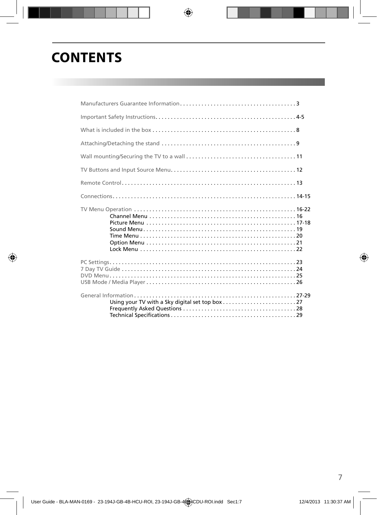# **CONTENTS**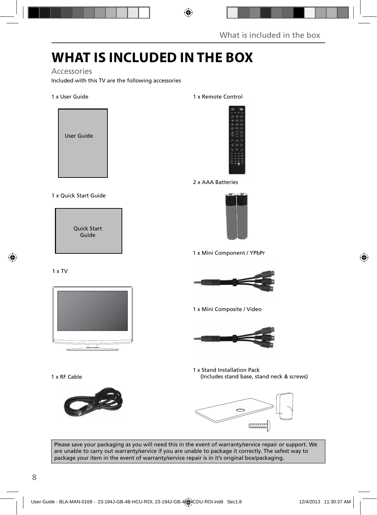# **WHAT IS INCLUDED IN THE BOX**

Accessories

Included with this TV are the following accessories

#### 1 x User Guide



#### 1 x Quick Start Guide

Quick Start Guide

#### 1 x TV



1 x RF Cable



1 x Remote Control



2 x AAA Batteries



1 x Mini Component / YPbPr



1 x Mini Composite / Video



1 x Stand Installation Pack (Includes stand base, stand neck & screws)



Please save your packaging as you will need this in the event of warranty/service repair or support. We are unable to carry out warranty/service if you are unable to package it correctly. The safest way to package your item in the event of warranty/service repair is in it's original box/packaging.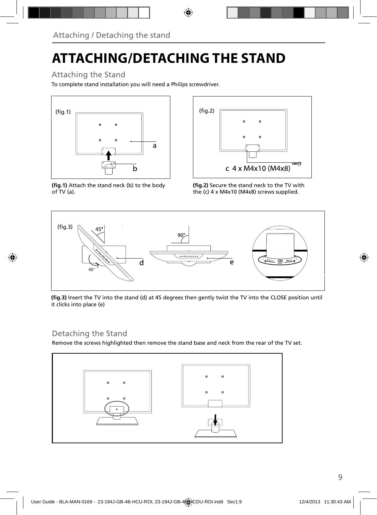# **ATTACHING/DETACHING THE STAND**

### Attaching the Stand

To complete stand installation you will need a Philips screwdriver.



(fig.1) Attach the stand neck (b) to the body of TV (a).



(fig.2) Secure the stand neck to the TV with the (c) 4 x M4x10 (M4x8) screws supplied.



(fig.3) Insert the TV into the stand (d) at 45 degrees then gently twist the TV into the CLOSE position until it clicks into place (e)

### Detaching the Stand

Remove the screws highlighted then remove the stand base and neck from the rear of the TV set.

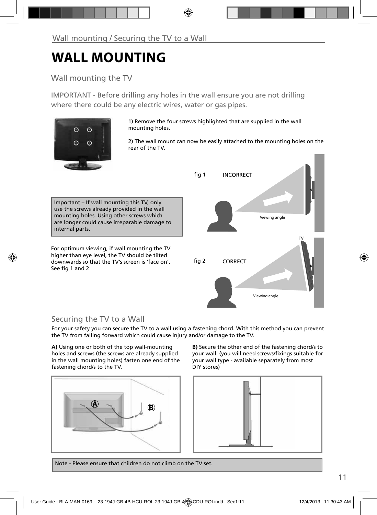# **WALL MOUNTING**

### Wall mounting the TV

IMPORTANT - Before drilling any holes in the wall ensure you are not drilling where there could be any electric wires, water or gas pipes.



1) Remove the four screws highlighted that are supplied in the wall mounting holes.

2) The wall mount can now be easily attached to the mounting holes on the rear of the TV.

Important – If wall mounting this TV, only use the screws already provided in the wall mounting holes. Using other screws which are longer could cause irreparable damage to internal parts.

For optimum viewing, if wall mounting the TV higher than eye level, the TV should be tilted downwards so that the TV's screen is 'face on'. See fig 1 and 2



### Securing the TV to a Wall

For your safety you can secure the TV to a wall using a fastening chord. With this method you can prevent the TV from falling forward which could cause injury and/or damage to the TV.

**A)** Using one or both of the top wall-mounting holes and screws (the screws are already supplied in the wall mounting holes) fasten one end of the fastening chord/s to the TV.



**B)** Secure the other end of the fastening chord/s to your wall. (you will need screws/fixings suitable for your wall type - available separately from most DIY stores)



Note - Please ensure that children do not climb on the TV set.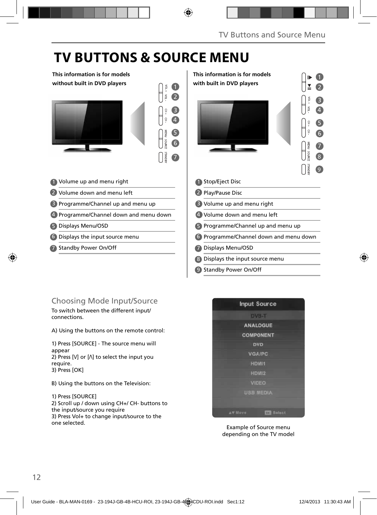# **TV BUTTONS & SOURCE MENU**

#### **This information is for models without built in DVD players**



- Volume up and menu right 1
- 2 Volume down and menu left
- Programme/Channel up and menu up 3

Programme/Channel down and menu down 4

- Displays Menu/OSD 5
- Displays the input source menu 6
- Standby Power On/Off 7

### 1 2 3 4 5 6 7 8 9 Stop/Eject Disc 1 2 Play/Pause Disc Volume up and menu right 3 Volume down and menu left 4 5 Programme/Channel up and menu up Programme/Channel down and menu down 6 Displays Menu/OSD 7 Displays the input source menu 8 **This information is for models with built in DVD players**

Standby Power On/Off 9

### Choosing Mode Input/Source

To switch between the different input/ connections.

A) Using the buttons on the remote control:

1) Press [SOURCE] - The source menu will appear 2) Press  $[V]$  or  $[\Lambda]$  to select the input you require. 3) Press [OK]

B) Using the buttons on the Television:

1) Press [SOURCE] 2) Scroll up / down using CH+/ CH- buttons to the input/source you require 3) Press Vol+ to change input/source to the one selected.



Example of Source menu depending on the TV model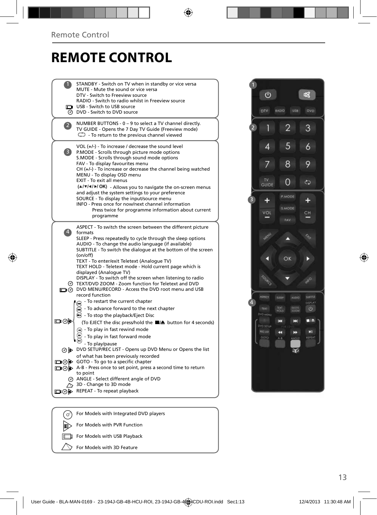# **REMOTE CONTROL**

|             | STANDBY - Switch on TV when in standby or vice versa<br>MUTE - Mute the sound or vice versa<br>DTV - Switch to Freeview source                                                                                                                                                                                                                                                                                |
|-------------|---------------------------------------------------------------------------------------------------------------------------------------------------------------------------------------------------------------------------------------------------------------------------------------------------------------------------------------------------------------------------------------------------------------|
| ⊚           | RADIO - Switch to radio whilst in Freeview source<br>USB - Switch to USB source<br>DVD - Switch to DVD source                                                                                                                                                                                                                                                                                                 |
|             | NUMBER BUTTONS - 0 - 9 to select a TV channel directly.<br>TV GUIDE - Opens the 7 Day TV Guide (Freeview mode)<br>$\mathbb{C}$ - To return to the previous channel viewed                                                                                                                                                                                                                                     |
| 3)          | VOL $(+/-)$ - To increase / decrease the sound level<br>P.MODE - Scrolls through picture mode options<br>S.MODE - Scrolls through sound mode options<br>FAV - To display favourites menu<br>$CH (+/-)$ - To increase or decrease the channel being watched<br>MENU - To display OSD menu<br>EXIT - To exit all menus                                                                                          |
|             | (A/V/4/M/OK) - Allows you to navigate the on-screen menus<br>and adjust the system settings to your preference<br>SOURCE - To display the input/source menu<br>INFO - Press once for now/next channel information<br>Press twice for programme information about current<br>programme                                                                                                                         |
| $\ket{4}$   | ASPECT - To switch the screen between the different picture<br>formats<br>SLEEP - Press repeatedly to cycle through the sleep options<br>AUDIO - To change the audio language (if available)<br>SUBTITLE - To switch the dialogue at the bottom of the screen<br>(on/off)<br>TEXT - To enter/exit Teletext (Analogue TV)<br>TEXT HOLD - Teletext mode - Hold current page which is<br>displayed (Analogue TV) |
| ര           | DISPLAY - To switch off the screen when listening to radio<br>TEXT/DVD ZOOM - Zoom function for Teletext and DVD<br>n @ DVD MENU/RECORD - Access the DVD root menu and USB<br>record function                                                                                                                                                                                                                 |
| య⊚⊡         | - To restart the current chapter<br>$\widetilde{\mathbf{m}}$ - To advance forward to the next chapter<br>$\odot$ - To stop the playback/Eject Disc<br>(To EJECT the disc press/hold the ■/▲ button for 4 seconds)<br>To play in fast rewind mode<br>- To play in fast forward mode                                                                                                                            |
| ⊡ை⊚⊫<br>⊉⊘⊉ | - To play/pause<br>⊙ DVD SETUP/REC LIST - Opens up DVD Menu or Opens the list<br>of what has been previously recorded<br>GOTO - To go to a specific chapter<br>□ ⊙ D A-B - Press once to set point, press a second time to return<br>to point<br>@ ANGLE - Select different angle of DVD<br>3D - Change to 3D mode<br>REPEAT - To repeat playback                                                             |
|             |                                                                                                                                                                                                                                                                                                                                                                                                               |
| ہے ،        | Eor Models with Integrated DVD players                                                                                                                                                                                                                                                                                                                                                                        |



For Models with Integrated DVD players  $\mathbf{r}$ For Models with PVR Function For Models with USB Playback Ō For Models with 3D Feature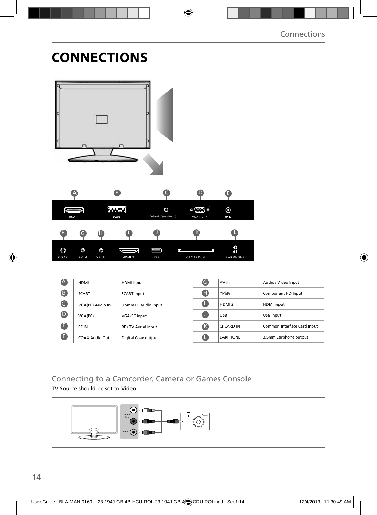## **CONNECTIONS**

|                         | A                              | 6                                   | $\subset$             | $\mathbf  \Phi$                  | ❶                     |                             |
|-------------------------|--------------------------------|-------------------------------------|-----------------------|----------------------------------|-----------------------|-----------------------------|
| Ų<br>HDMI 1             |                                | <b>WWWW.</b><br><b>SCART</b>        | O<br>VGA/PC(Audio in) | $\circ$ GHD $\circ$<br>VGA/PC IN | $_{\odot}$<br>RF IN   |                             |
| F                       | G)<br>A                        |                                     |                       | К                                |                       |                             |
| $\circledcirc$<br>COAX  | $\circ$<br>O<br>AV IN<br>YPbPr | $\overline{C}$<br>HDMI <sub>2</sub> | Ē<br>USB              | CI CARD IN                       | ္ဂ<br><b>EARPHONE</b> |                             |
|                         |                                |                                     |                       |                                  |                       |                             |
| $\bigcirc$              | HDMI <sub>1</sub>              | HDMI input                          |                       | $\bullet$                        | AV in                 | Audio / Video Input         |
| $\bullet$               | <b>SCART</b>                   | <b>SCART Input</b>                  |                       | $\bf \Phi$                       | YPbPr                 | Component HD Input          |
| $\bullet$               | VGA(PC) Audio In               | 3.5mm PC audio input                |                       | $\bullet$                        | HDMI <sub>2</sub>     | HDMI input                  |
| $\overline{\mathbf{O}}$ | VGA(PC)                        | VGA-PC input                        |                       | $\bullet$                        | USB                   | USB input                   |
| $\bullet$               | RF IN                          | RF / TV Aerial Input                |                       | $\bigcirc$                       | CI CARD IN            | Common Interface Card Input |

### Connecting to a Camcorder, Camera or Games Console

TV Source should be set to Video

 $\bullet$ 

COAX Audio Out Digital Coax output



 $\bullet$ 

EARPHONE 3.5mm Earphone output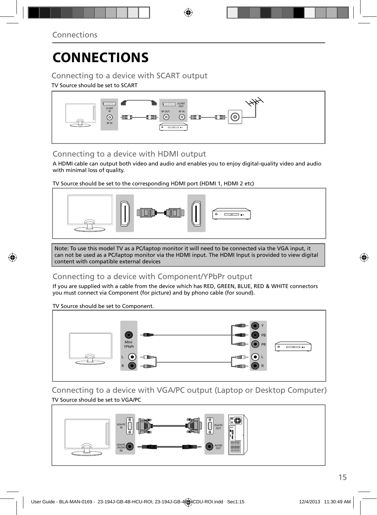# **CONNECTIONS**

### Connecting to a device with SCART output

#### TV Source should be set to SCART



### Connecting to a device with HDMI output

A HDMI cable can output both video and audio and enables you to enjoy digital-quality video and audio with minimal loss of quality.

TV Source should be set to the corresponding HDMI port (HDMI 1, HDMI 2 etc)



Note: To use this model TV as a PC/laptop monitor it will need to be connected via the VGA input, it can not be used as a PC/laptop monitor via the HDMI input. The HDMI Input is provided to view digital content with compatible external devices

### Connecting to a device with Component/YPbPr output

If you are supplied with a cable from the device which has RED, GREEN, BLUE, RED & WHITE connectors you must connect via Component (for picture) and by phono cable (for sound).

TV Source should be set to Component.



Connecting to a device with VGA/PC output (Laptop or Desktop Computer) TV Source should be set to VGA/PC

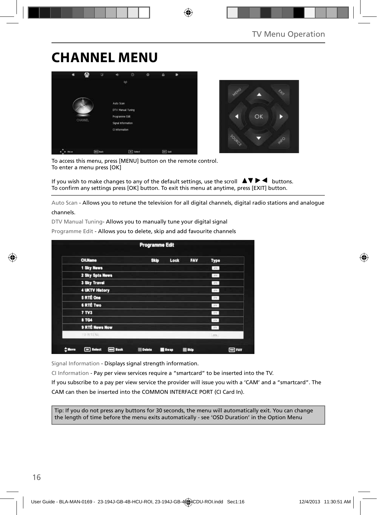### **CHANNEL MENU**



To access this menu, press [MENU] button on the remote control. To enter a menu press [OK]

If you wish to make changes to any of the default settings, use the scroll  $\Box \blacktriangleright \blacktriangleleft$  buttons. To confirm any settings press [OK] button. To exit this menu at anytime, press [EXIT] button.

Auto Scan - Allows you to retune the television for all digital channels, digital radio stations and analogue channels.

DTV Manual Tuning- Allows you to manually tune your digital signal

| <b>CH.Name</b>        | <b>Skip</b> | Lock | <b>FAV</b> | Type          |  |
|-----------------------|-------------|------|------------|---------------|--|
| 1 Sky News            |             |      |            | $-570$        |  |
| 2 Sky Spts News       |             |      |            | .01x.         |  |
| <b>3 Sky Travel</b>   |             |      |            | ory.          |  |
| <b>4 UKTV History</b> |             |      |            | DV:           |  |
| 5 RTÉ One             |             |      |            | $-01V$        |  |
| <b>6 RTÉ Two</b>      |             |      |            | $100$         |  |
| 7 TV3                 |             |      |            | $_{\rm 100}$  |  |
| <b>8 TG4</b>          |             |      |            | $10^{\circ}$  |  |
| 9 RTÉ News Now        |             |      |            | $_{\rm grav}$ |  |
| <b>ID RTENU</b>       |             |      |            | Lenkill       |  |

Programme Edit - Allows you to delete, skip and add favourite channels

Signal Information - Displays signal strength information.

CI Information - Pay per view services require a "smartcard" to be inserted into the TV.

If you subscribe to a pay per view service the provider will issue you with a 'CAM' and a "smartcard". The CAM can then be inserted into the COMMON INTERFACE PORT (CI Card In).

Tip: If you do not press any buttons for 30 seconds, the menu will automatically exit. You can change the length of time before the menu exits automatically - see 'OSD Duration' in the Option Menu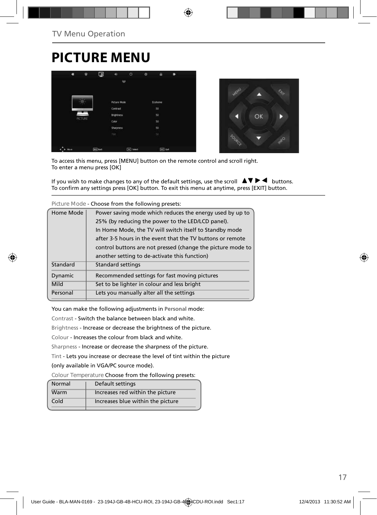## **PICTURE MENU**





To access this menu, press [MENU] button on the remote control and scroll right. To enter a menu press [OK]

If you wish to make changes to any of the default settings, use the scroll  $\blacktriangle \blacktriangledown \blacktriangleright \blacktriangleleft$  buttons. To confirm any settings press [OK] button. To exit this menu at anytime, press [EXIT] button.

**Picture Mode** - Choose from the following presets:

| Home Mode      | Power saving mode which reduces the energy used by up to    |
|----------------|-------------------------------------------------------------|
|                | 25% (by reducing the power to the LED/LCD panel).           |
|                | In Home Mode, the TV will switch itself to Standby mode     |
|                | after 3-5 hours in the event that the TV buttons or remote  |
|                | control buttons are not pressed (change the picture mode to |
|                | another setting to de-activate this function)               |
| Standard       | Standard settings                                           |
| <b>Dynamic</b> | Recommended settings for fast moving pictures               |
| Mild           | Set to be lighter in colour and less bright                 |
| Personal       | Lets you manually alter all the settings                    |
|                |                                                             |

You can make the following adjustments in **Personal** mode:

Contrast - Switch the balance between black and white.

Brightness - Increase or decrease the brightness of the picture.

Colour - Increases the colour from black and white.

Sharpness - Increase or decrease the sharpness of the picture.

Tint - Lets you increase or decrease the level of tint within the picture

(only available in VGA/PC source mode).

**Colour Temperature** Choose from the following presets:

| Normal | Default settings                  |
|--------|-----------------------------------|
| Warm   | Increases red within the picture  |
| Cold   | Increases blue within the picture |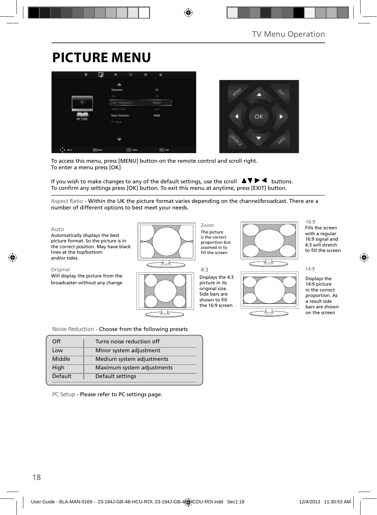# **PICTURE MENU**





To access this menu, press [MENU] button on the remote control and scroll right. To enter a menu press [OK]

If you wish to make changes to any of the default settings, use the scroll  $\Delta \nabla \blacktriangleright$  buttons. To confirm any settings press [OK] button. To exit this menu at anytime, press [EXIT] button.

Aspect Ratio - Within the UK the picture format varies depending on the channel/broadcast. There are a number of different options to best meet your needs.



**Noise Reduction** - Choose from the following presets

| Off     | Turns noise reduction off  |
|---------|----------------------------|
| Low     | Minor system adjustment    |
| Middle  | Medium system adjustments  |
| High    | Maximum system adjustments |
| Default | Default settings           |
|         |                            |

**PC Setup** - Please refer to PC settings page.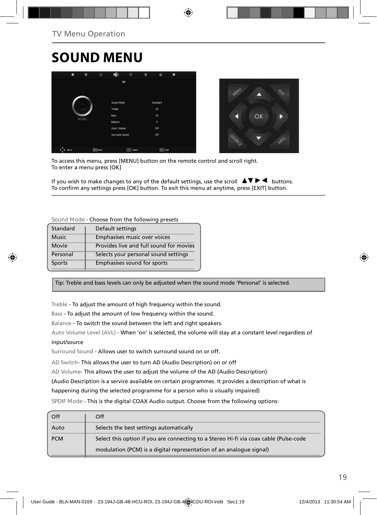# **SOUND MENU**





To access this menu, press [MENU] button on the remote control and scroll right. To enter a menu press [OK]

If you wish to make changes to any of the default settings, use the scroll  $\blacktriangle \blacktriangledown \blacktriangleright \blacktriangleleft$  buttons. To confirm any settings press [OK] button. To exit this menu at anytime, press [EXIT] button.

#### **Sound Mode** - Choose from the following presets

| Standard     | Default settings                        |
|--------------|-----------------------------------------|
| <b>Music</b> | Emphasises music over voices            |
| Movie        | Provides live and full sound for movies |
| Personal     | Selects your personal sound settings    |
| Sports       | Emphasises sound for sports             |

Tip: Treble and bass levels can only be adjusted when the sound mode 'Personal' is selected.

Treble - To adjust the amount of high frequency within the sound.

Bass - To adjust the amount of low frequency within the sound.

Balance - To switch the sound between the left and right speakers.

Auto Volume Level (AVL) - When 'on' is selected, the volume will stay at a constant level regardless of input/source

Surround Sound - Allows user to switch surround sound on or off.

AD Switch- This allows the user to turn AD (Audio Description) on or off

AD Volume- This allows the user to adjust the volume of the AD (Audio Description)

(Audio Description is a service available on certain programmes. It provides a description of what is

happening during the selected programme for a person who is visually impaired)

**SPDIF Mode** - This is the digital COAX Audio output. Choose from the following options:

| Select this option if you are connecting to a Stereo Hi-fi via coax cable (Pulse-code<br>modulation (PCM) is a digital representation of an analogue signal) |
|--------------------------------------------------------------------------------------------------------------------------------------------------------------|
|                                                                                                                                                              |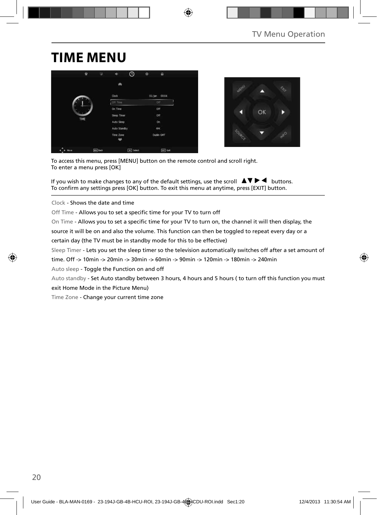# **TIME MENU**





To access this menu, press [MENU] button on the remote control and scroll right. To enter a menu press [OK]

If you wish to make changes to any of the default settings, use the scroll  $\Delta \nabla \blacktriangleright$  buttons. To confirm any settings press [OK] button. To exit this menu at anytime, press [EXIT] button.

Clock - Shows the date and time

Off Time - Allows you to set a specific time for your TV to turn off

On Time - Allows you to set a specific time for your TV to turn on, the channel it will then display, the

source it will be on and also the volume. This function can then be toggled to repeat every day or a certain day (the TV must be in standby mode for this to be effective)

Sleep Timer - Lets you set the sleep timer so the television automatically switches off after a set amount of

time. Off -> 10min -> 20min -> 30min -> 60min -> 90min -> 120min -> 180min -> 240min

Auto sleep - Toggle the Function on and off

Auto standby - Set Auto standby between 3 hours, 4 hours and 5 hours ( to turn off this function you must

exit Home Mode in the Picture Menu)

Time Zone - Change your current time zone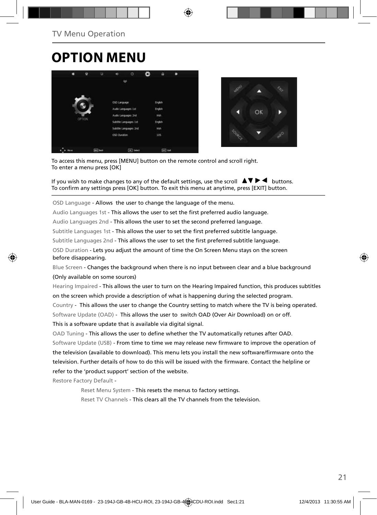# **OPTION MENU**





To access this menu, press [MENU] button on the remote control and scroll right. To enter a menu press [OK]

If you wish to make changes to any of the default settings, use the scroll  $\Delta \nabla \blacktriangleright$   $\blacktriangleleft$  buttons. To confirm any settings press [OK] button. To exit this menu at anytime, press [EXIT] button.

OSD Language - Allows the user to change the language of the menu.

Audio Languages 1st - This allows the user to set the first preferred audio language.

Audio Languages 2nd - This allows the user to set the second preferred language.

Subtitle Languages 1st - This allows the user to set the first preferred subtitle language.

Subtitle Languages 2nd - This allows the user to set the first preferred subtitle language.

OSD Duration - Lets you adjust the amount of time the On Screen Menu stays on the screen before disappearing.

Blue Screen - Changes the background when there is no input between clear and a blue background (Only available on some sources)

Hearing Impaired - This allows the user to turn on the Hearing Impaired function, this produces subtitles on the screen which provide a description of what is happening during the selected program.

Country - This allows the user to change the Country setting to match where the TV is being operated. Software Update (OAD) - This allows the user to switch OAD (Over Air Download) on or off. This is a software update that is available via digital signal.

OAD Tuning - This allows the user to define whether the TV automatically retunes after OAD.

Software Update (USB) - From time to time we may release new firmware to improve the operation of the television (available to download). This menu lets you install the new software/firmware onto the television. Further details of how to do this will be issued with the firmware. Contact the helpline or refer to the 'product support' section of the website.

Restore Factory Default -

Reset Menu System - This resets the menus to factory settings.

Reset TV Channels - This clears all the TV channels from the television.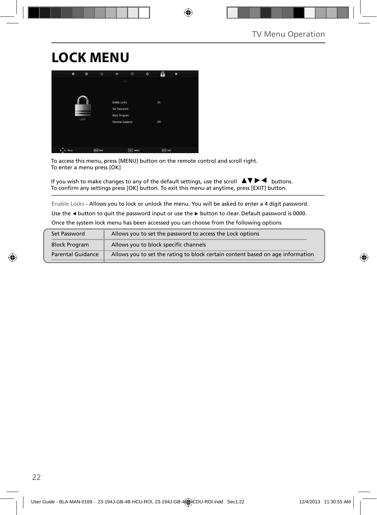# **LOCK MENU**



To access this menu, press [MENU] button on the remote control and scroll right. To enter a menu press [OK]

If you wish to make changes to any of the default settings, use the scroll  $\Delta \nabla \blacktriangleright$  buttons. To confirm any settings press [OK] button. To exit this menu at anytime, press [EXIT] button.

Enable Locks - Allows you to lock or unlock the menu. You will be asked to enter a 4 digit password.

Use the **◄** button to quit the password input or use the **►** button to clear. Default password is 0000.

Once the system lock menu has been accessed you can choose from the following options

| Set Password         | Allows you to set the password to access the Lock options                      |
|----------------------|--------------------------------------------------------------------------------|
| <b>Block Program</b> | Allows you to block specific channels                                          |
| Parental Guidance    | Allows you to set the rating to block certain content based on age information |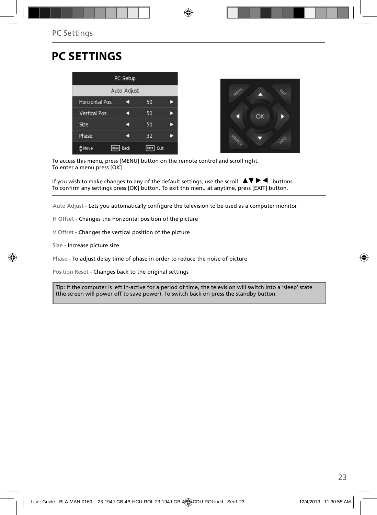### **PC SETTINGS**





To access this menu, press [MENU] button on the remote control and scroll right. To enter a menu press [OK]

If you wish to make changes to any of the default settings, use the scroll  $\blacktriangle \blacktriangledown \blacktriangleright \blacktriangleleft$  buttons. To confirm any settings press [OK] button. To exit this menu at anytime, press [EXIT] button.

Auto Adjust - Lets you automatically configure the television to be used as a computer monitor

- H Offset Changes the horizontal position of the picture
- V Offset Changes the vertical position of the picture
- Size Increase picture size

Phase - To adjust delay time of phase in order to reduce the noise of picture

Position Reset - Changes back to the original settings

Tip: If the computer is left in-active for a period of time, the television will switch into a 'sleep' state (the screen will power off to save power). To switch back on press the standby button.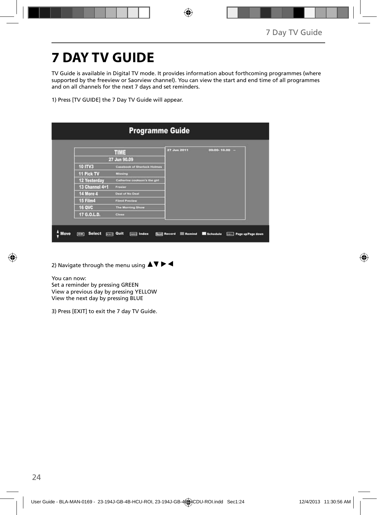# **7 DAY TV GUIDE**

TV Guide is available in Digital TV mode. It provides information about forthcoming programmes (where supported by the freeview or Saorview channel). You can view the start and end time of all programmes and on all channels for the next 7 days and set reminders.

1) Press [TV GUIDE] the 7 Day TV Guide will appear.

|                     | <b>TIME</b>                        | 27 Jun 2011 | $09:00 - 10.00 -$ |
|---------------------|------------------------------------|-------------|-------------------|
|                     | 27 Jun 90.09                       |             |                   |
| <b>10 ITV3</b>      | <b>Casebook of Sherlock Holmes</b> |             |                   |
| 11 Pick TV          | Missing                            |             |                   |
| <b>12 Yesterday</b> | Catherine cookson's the girl       |             |                   |
| 13 Channel 4+1      | Frasier                            |             |                   |
| 14 More 4           | <b>Deal of No Deal</b>             |             |                   |
| 15 Film4            | <b>Film4 Preview</b>               |             |                   |
| <b>16 QVC</b>       | <b>The Morning Show</b>            |             |                   |
| 17 G.O.L.D.         | Close                              |             |                   |

2) Navigate through the menu using  $\blacktriangle \blacktriangledown \blacktriangleright \blacktriangleleft$ 

You can now:

Set a reminder by pressing GREEN View a previous day by pressing YELLOW View the next day by pressing BLUE

3) Press [EXIT] to exit the 7 day TV Guide.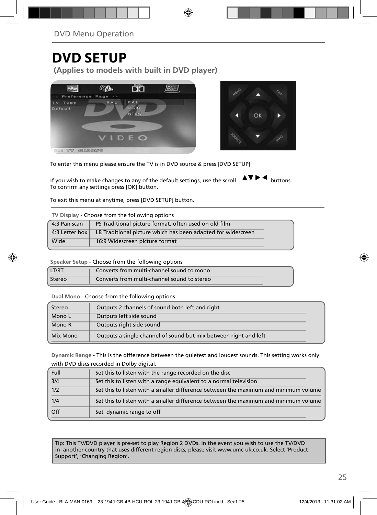### **DVD SETUP**

**(Applies to models with built in DVD player)**





To enter this menu please ensure the TV is in DVD source & press [DVD SETUP]

If you wish to make changes to any of the default settings, use the scroll  $\Delta \nabla \blacktriangleright$   $\blacktriangleleft$  buttons. To confirm any settings press [OK] button.

To exit this menu at anytime, press [DVD SETUP] button.

| 4:3 Pan scan | PS Traditional picture format, often used on old film                               |
|--------------|-------------------------------------------------------------------------------------|
|              | 4:3 Letter box $\vert$ LB Traditional picture which has been adapted for widescreen |
| Wide         | 16:9 Widescreen picture format                                                      |

**Speaker Setup** - Choose from the following options

| LT/RT  | Converts from multi-channel sound to mono   |
|--------|---------------------------------------------|
| Stereo | Converts from multi-channel sound to stereo |

**Dual Mono** - Choose from the following options

| Stereo   | Outputs 2 channels of sound both left and right                  |  |
|----------|------------------------------------------------------------------|--|
| Mono L   | Outputs left side sound                                          |  |
| Mono R   | Outputs right side sound                                         |  |
| Mix Mono | Outputs a single channel of sound but mix between right and left |  |

**Dynamic Range** - This is the difference between the quietest and loudest sounds. This setting works only with DVD discs recorded in Dolby digital.

| Full | Set this to listen with the range recorded on the disc                              |
|------|-------------------------------------------------------------------------------------|
| 3/4  | Set this to listen with a range equivalent to a normal television                   |
| 1/2  | Set this to listen with a smaller difference between the maximum and minimum volume |
| 1/4  | Set this to listen with a smaller difference between the maximum and minimum volume |
| Off  | Set dynamic range to off                                                            |

Tip: This TV/DVD player is pre-set to play Region 2 DVDs. In the event you wish to use the TV/DVD in another country that uses different region discs, please visit www.umc-uk.co.uk. Select 'Product Support', 'Changing Region'.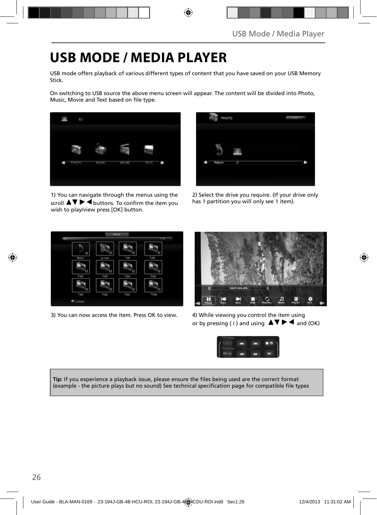### **USB MODE / MEDIA PLAYER**

USB mode offers playback of various different types of content that you have saved on your USB Memory Stick.

On switching to USB source the above menu screen will appear. The content will be divided into Photo, Music, Movie and Text based on file type.



1) You can navigate through the menus using the scroll  $\blacktriangle \blacktriangledown \blacktriangleright \blacktriangleleft$  buttons. To confirm the item you wish to play/view press [OK] button.



2) Select the drive you require. (If your drive only has 1 partition you will only see 1 item).



3) You can now access the item. Press OK to view. 4) While viewing you control the item using



or by pressing ( i ) and using  $\Delta \nabla \blacktriangleright$   $\blacktriangle$  and (OK)



Tip: If you experience a playback issue, please ensure the files being used are the correct format (example - the picture plays but no sound) See technical specification page for compatible file types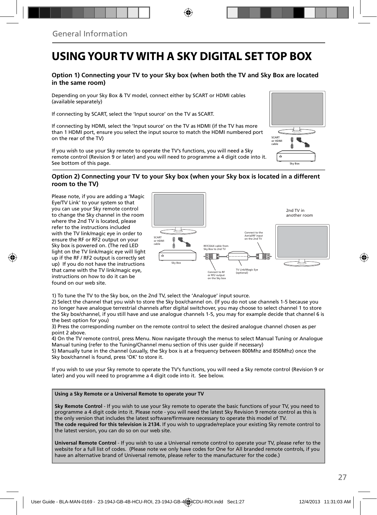### **USING YOUR TV WITH A SKY DIGITAL SET TOP BOX**

#### **Option 1) Connecting your TV to your Sky box (when both the TV and Sky Box are located in the same room)**

Depending on your Sky Box & TV model, connect either by SCART or HDMI cables (available separately)

If connecting by SCART, select the 'Input source' on the TV as SCART.

If connecting by HDMI, select the 'Input source' on the TV as HDMI (if the TV has more than 1 HDMI port, ensure you select the input source to match the HDMI numbered port on the rear of the TV)

If you wish to use your Sky remote to operate the TV's functions, you will need a Sky remote control (Revision 9 or later) and you will need to programme a 4 digit code into it. See bottom of this page.

# Sky Box SCART or HDMI cable

#### **Option 2) Connecting your TV to your Sky box (when your Sky box is located in a different room to the TV)**

Please note, if you are adding a 'Magic Eye/TV Link' to your system so that you can use your Sky remote control to change the Sky channel in the room where the 2nd TV is located, please refer to the instructions included with the TV link/magic eye in order to ensure the RF or RF2 output on your Sky box is powered on. (The red LED light on the TV link/magic eye will light up if the RF / RF2 output is correctly set up) If you do not have the instructions that came with the TV link/magic eye, instructions on how to do it can be found on our web site.



1) To tune the TV to the Sky box, on the 2nd TV, select the 'Analogue' input source.

2) Select the channel that you wish to store the Sky box/channel on. (If you do not use channels 1-5 because you no longer have analogue terrestrial channels after digital switchover, you may choose to select channel 1 to store the Sky box/channel, if you still have and use analogue channels 1-5, you may for example decide that channel 6 is the best option for you)

3) Press the corresponding number on the remote control to select the desired analogue channel chosen as per point 2 above.

4) On the TV remote control, press Menu. Now navigate through the menus to select Manual Tuning or Analogue Manual tuning (refer to the Tuning/Channel menu section of this user guide if necessary)

5) Manually tune in the channel (usually, the Sky box is at a frequency between 800Mhz and 850Mhz) once the Sky box/channel is found, press 'OK' to store it.

If you wish to use your Sky remote to operate the TV's functions, you will need a Sky remote control (Revision 9 or later) and you will need to programme a 4 digit code into it. See below.

#### **Using a Sky Remote or a Universal Remote to operate your TV**

**Sky Remote Control** - If you wish to use your Sky remote to operate the basic functions of your TV, you need to programme a 4 digit code into it. Please note - you will need the latest Sky Revision 9 remote control as this is the only version that includes the latest software/firmware necessary to operate this model of TV. **The code required for this television is 2134.** If you wish to upgrade/replace your existing Sky remote control to the latest version, you can do so on our web site.

**Universal Remote Control** - If you wish to use a Universal remote control to operate your TV, please refer to the website for a full list of codes. (Please note we only have codes for One for All branded remote controls, if you have an alternative brand of Universal remote, please refer to the manufacturer for the code.)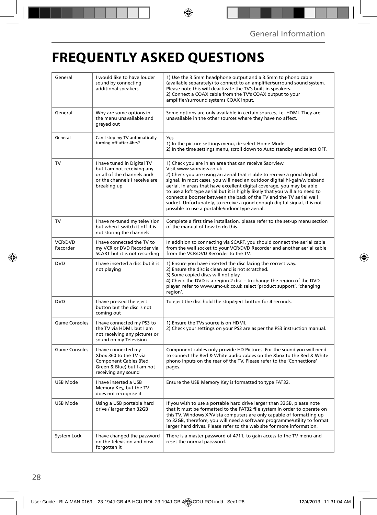# **FREQUENTLY ASKED QUESTIONS**

| General                    | I would like to have louder<br>sound by connecting<br>additional speakers                                                               | 1) Use the 3.5mm headphone output and a 3.5mm to phono cable<br>(available separately) to connect to an amplifier/surround sound system.<br>Please note this will deactivate the TV's built in speakers.<br>2) Connect a COAX cable from the TV's COAX output to your<br>amplifier/surround systems COAX input.                                                                                                                                                                                                                                                                                           |  |
|----------------------------|-----------------------------------------------------------------------------------------------------------------------------------------|-----------------------------------------------------------------------------------------------------------------------------------------------------------------------------------------------------------------------------------------------------------------------------------------------------------------------------------------------------------------------------------------------------------------------------------------------------------------------------------------------------------------------------------------------------------------------------------------------------------|--|
| General                    | Why are some options in<br>the menu unavailable and<br>greyed out                                                                       | Some options are only available in certain sources, i.e. HDMI. They are<br>unavailable in the other sources where they have no affect.                                                                                                                                                                                                                                                                                                                                                                                                                                                                    |  |
| General                    | Can I stop my TV automatically<br>turning off after 4hrs?                                                                               | Yes<br>1) In the picture settings menu, de-select Home Mode.<br>2) In the time settings menu, scroll down to Auto standby and select OFF.                                                                                                                                                                                                                                                                                                                                                                                                                                                                 |  |
| TV                         | I have tuned in Digital TV<br>but I am not receiving any<br>or all of the channels and/<br>or the channels I receive are<br>breaking up | 1) Check you are in an area that can receive Saorview.<br>Visit www.saorview.co.uk<br>2) Check you are using an aerial that is able to receive a good digital<br>signal. In most cases, you will need an outdoor digital hi-gain/wideband<br>aerial. In areas that have excellent digital coverage, you may be able<br>to use a loft type aerial but it is highly likely that you will also need to<br>connect a booster between the back of the TV and the TV aerial wall<br>socket. Unfortunately, to receive a good enough digital signal, it is not<br>possible to use a portable/indoor type aerial. |  |
| TV                         | I have re-tuned my television<br>but when I switch it off it is<br>not storing the channels                                             | Complete a first time installation, please refer to the set-up menu section<br>of the manual of how to do this.                                                                                                                                                                                                                                                                                                                                                                                                                                                                                           |  |
| <b>VCR/DVD</b><br>Recorder | I have connected the TV to<br>my VCR or DVD Recorder via<br>SCART but it is not recording                                               | In addition to connecting via SCART, you should connect the aerial cable<br>from the wall socket to your VCR/DVD Recorder and another aerial cable<br>from the VCR/DVD Recorder to the TV.                                                                                                                                                                                                                                                                                                                                                                                                                |  |
| <b>DVD</b>                 | I have inserted a disc but it is<br>not playing                                                                                         | 1) Ensure you have inserted the disc facing the correct way.<br>2) Ensure the disc is clean and is not scratched.<br>3) Some copied discs will not play.<br>4) Check the DVD is a region 2 disc - to change the region of the DVD<br>player, refer to www.umc-uk.co.uk select 'product support', 'changing<br>region'.                                                                                                                                                                                                                                                                                    |  |
| DVD                        | I have pressed the eject<br>button but the disc is not<br>coming out                                                                    | To eject the disc hold the stop/eject button for 4 seconds.                                                                                                                                                                                                                                                                                                                                                                                                                                                                                                                                               |  |
| Game Consoles              | I have connected my PS3 to<br>the TV via HDMI, but I am<br>not receiving any pictures or<br>sound on my Television                      | 1) Ensure the TVs source is on HDMI.<br>2) Check your settings on your PS3 are as per the PS3 instruction manual.                                                                                                                                                                                                                                                                                                                                                                                                                                                                                         |  |
| <b>Game Consoles</b>       | I have connected my<br>Xbox 360 to the TV via<br>Component Cables (Red,<br>Green & Blue) but I am not<br>receiving any sound            | Component cables only provide HD Pictures. For the sound you will need<br>to connect the Red & White audio cables on the Xbox to the Red & White<br>phono inputs on the rear of the TV. Please refer to the 'Connections'<br>pages.                                                                                                                                                                                                                                                                                                                                                                       |  |
| USB Mode                   | I have inserted a USB<br>Memory Key, but the TV<br>does not recognise it                                                                | Ensure the USB Memory Key is formatted to type FAT32.                                                                                                                                                                                                                                                                                                                                                                                                                                                                                                                                                     |  |
| USB Mode                   | Using a USB portable hard<br>drive / larger than 32GB                                                                                   | If you wish to use a portable hard drive larger than 32GB, please note<br>that it must be formatted to the FAT32 file system in order to operate on<br>this TV. Windows XP/Vista computers are only capable of formatting up<br>to 32GB, therefore, you will need a software programme/utility to format<br>larger hard drives. Please refer to the web site for more information.                                                                                                                                                                                                                        |  |
| System Lock                | I have changed the password<br>on the television and now<br>forgotten it                                                                | There is a master password of 4711, to gain access to the TV menu and<br>reset the normal password.                                                                                                                                                                                                                                                                                                                                                                                                                                                                                                       |  |